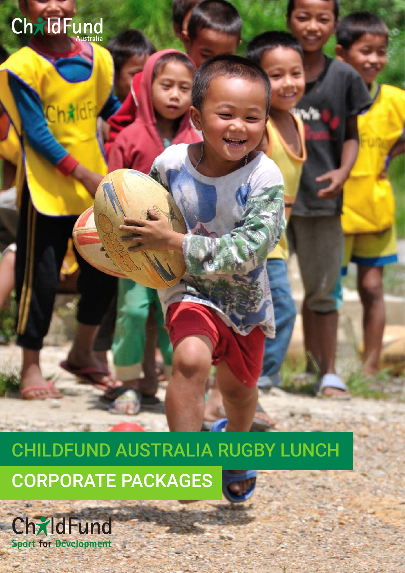

CHILDFUND AUSTRALIA RUGBY LUNCH CORPORATE PACKAGES

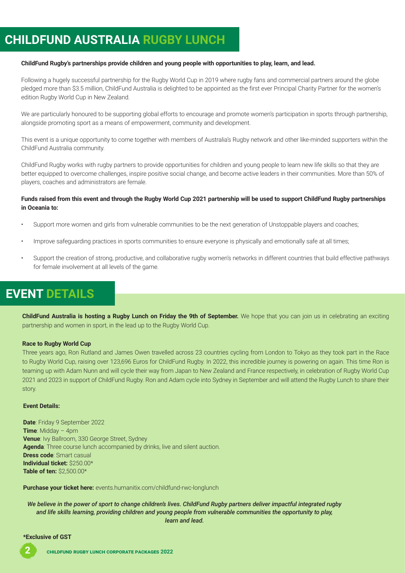# **CHILDFUND AUSTRALIA RUGBY LUNCH**

#### **ChildFund Rugby's partnerships provide children and young people with opportunities to play, learn, and lead.**

Following a hugely successful partnership for the Rugby World Cup in 2019 where rugby fans and commercial partners around the globe pledged more than \$3.5 million, ChildFund Australia is delighted to be appointed as the first ever Principal Charity Partner for the women's edition Rugby World Cup in New Zealand.

We are particularly honoured to be supporting global efforts to encourage and promote women's participation in sports through partnership, alongside promoting sport as a means of empowerment, community and development.

This event is a unique opportunity to come together with members of Australia's Rugby network and other like-minded supporters within the ChildFund Australia community.

ChildFund Rugby works with rugby partners to provide opportunities for children and young people to learn new life skills so that they are better equipped to overcome challenges, inspire positive social change, and become active leaders in their communities. More than 50% of players, coaches and administrators are female.

#### **Funds raised from this event and through the Rugby World Cup 2021 partnership will be used to support ChildFund Rugby partnerships in Oceania to:**

- Support more women and girls from vulnerable communities to be the next generation of Unstoppable players and coaches;
- Improve safeguarding practices in sports communities to ensure everyone is physically and emotionally safe at all times;
- Support the creation of strong, productive, and collaborative rugby women's networks in different countries that build effective pathways for female involvement at all levels of the game.

# **EVENT DETAILS**

**ChildFund Australia is hosting a Rugby Lunch on Friday the 9th of September.** We hope that you can join us in celebrating an exciting partnership and women in sport, in the lead up to the Rugby World Cup.

#### **Race to Rugby World Cup**

Three years ago, Ron Rutland and James Owen travelled across 23 countries cycling from London to Tokyo as they took part in the Race to Rugby World Cup, raising over 123,696 Euros for ChildFund Rugby. In 2022, this incredible journey is powering on again. This time Ron is teaming up with Adam Nunn and will cycle their way from Japan to New Zealand and France respectively, in celebration of Rugby World Cup 2021 and 2023 in support of ChildFund Rugby. Ron and Adam cycle into Sydney in September and will attend the Rugby Lunch to share their story.

#### **Event Details:**

**Date**: Friday 9 September 2022 **Time**: Midday – 4pm **Venue**: Ivy Ballroom, 330 George Street, Sydney **Agenda**: Three course lunch accompanied by drinks, live and silent auction. **Dress code**: Smart casual **Individual ticket:** \$250.00\* **Table of ten:** \$2,500.00\*

**Purchase your ticket here:** events.humanitix.com/childfund-rwc-longlunch

*We believe in the power of sport to change children's lives. ChildFund Rugby partners deliver impactful integrated rugby and life skills learning, providing children and young people from vulnerable communities the opportunity to play, learn and lead.*

#### **\*Exclusive of GST**

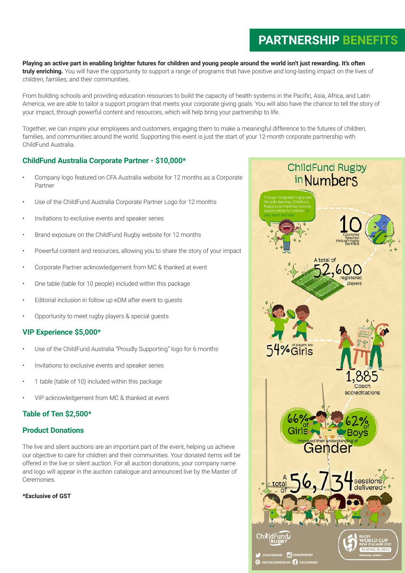# **PARTNERSHIP BENEFITS**

**Playing an active part in enabling brighter futures for children and young people around the world isn't just rewarding. It's often truly enriching.** You will have the opportunity to support a range of programs that have positive and long-lasting impact on the lives of children, families, and their communities.

From building schools and providing education resources to build the capacity of health systems in the Pacific, Asia, Africa, and Latin America, we are able to tailor a support program that meets your corporate giving goals. You will also have the chance to tell the story of your impact, through powerful content and resources, which will help bring your partnership to life.

Together, we can inspire your employees and customers, engaging them to make a meaningful difference to the futures of children, families, and communities around the world. Supporting this event is just the start of your 12-month corporate partnership with ChildFund Australia.

## **ChildFund Australia Corporate Partner - \$10,000\***

- Company logo featured on CFA Australia website for 12 months as a Corporate Partner
- Use of the ChildFund Australia Corporate Partner Logo for 12 months
- Invitations to exclusive events and speaker series
- Brand exposure on the ChildFund Rugby website for 12 months
- Powerful content and resources, allowing you to share the story of your impact
- Corporate Partner acknowledgement from MC & thanked at event
- One table (table for 10 people) included within this package
- Editorial inclusion in follow up eDM after event to quests
- Opportunity to meet rugby players & special guests

## **VIP Experience \$5,000\***

- Use of the ChildFund Australia "Proudly Supporting" logo for 6 months
- Invitations to exclusive events and speaker series
- 1 table (table of 10) included within this package
- VIP acknowledgement from MC & thanked at event

## **Table of Ten \$2,500\***

## **Product Donations**

The live and silent auctions are an important part of the event, helping us achieve our objective to care for children and their communities. Your donated items will be offered in the live or silent auction. For all auction donations, your company name and logo will appear in the auction catalogue and announced live by the Master of **Ceremonies** 

### **\*Exclusive of GST**